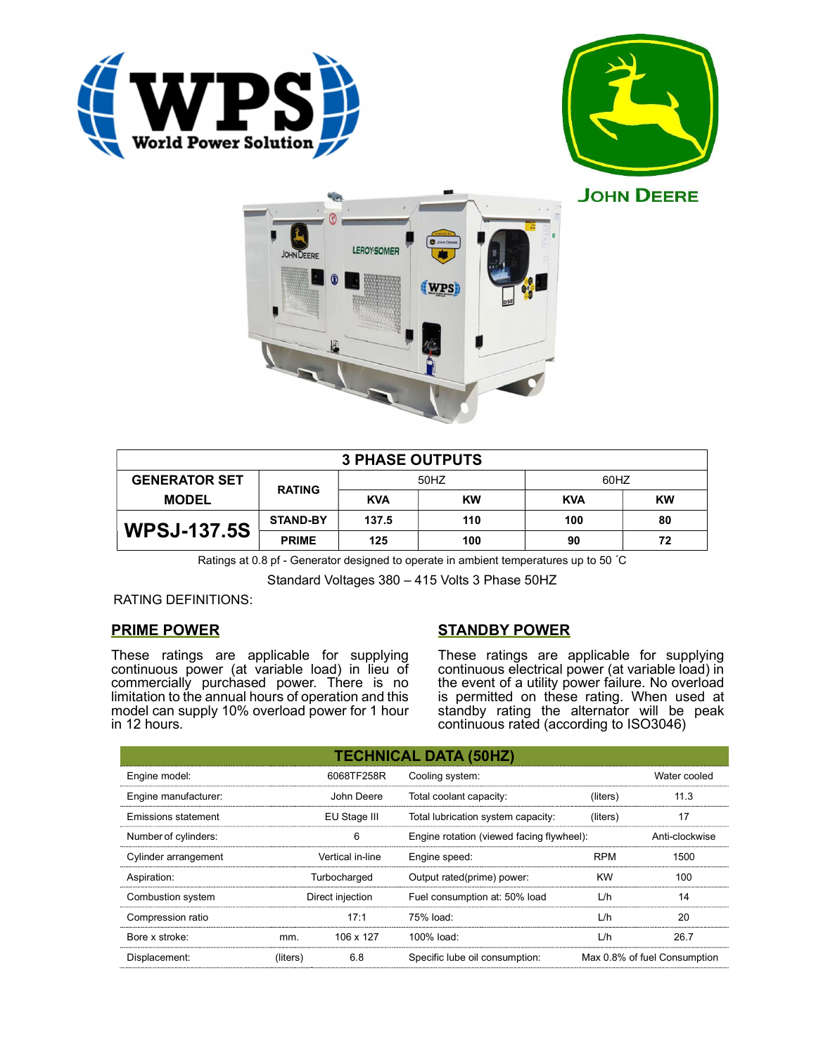







| <b>3 PHASE OUTPUTS</b> |                 |            |           |            |           |  |  |
|------------------------|-----------------|------------|-----------|------------|-----------|--|--|
| <b>GENERATOR SET</b>   | <b>RATING</b>   | 50HZ       |           | 60HZ       |           |  |  |
| <b>MODEL</b>           |                 | <b>KVA</b> | <b>KW</b> | <b>KVA</b> | <b>KW</b> |  |  |
| <b>WPSJ-137.5S</b>     | <b>STAND-BY</b> | 137.5      | 110       | 100        | 80        |  |  |
|                        | <b>PRIME</b>    | 125        | 100       | 90         | 72        |  |  |

Ratings at 0.8 pf - Generator designed to operate in ambient temperatures up to 50 °C

Standard Voltages 380 – 415 Volts 3 Phase 50HZ

RATING DEFINITIONS:

## PRIME POWER

These ratings are applicable for supplying continuous power (at variable load) in lieu of commercially purchased power. There is no limitation to the annual hours of operation and this model can supply 10% overload power for 1 hour in 12 hours.

# STANDBY POWER

These ratings are applicable for supplying continuous electrical power (at variable load) in the event of a utility power failure. No overload is permitted on these rating. When used at standby rating the alternator will be peak continuous rated (according to ISO3046)

| <b>TECHNICAL DATA (50HZ)</b> |                  |            |                                           |            |                              |  |  |
|------------------------------|------------------|------------|-------------------------------------------|------------|------------------------------|--|--|
| Engine model:                |                  | 6068TF258R | Cooling system:                           |            | Water cooled                 |  |  |
| Engine manufacturer:         |                  | John Deere | Total coolant capacity:                   | (liters)   | 11.3                         |  |  |
| Emissions statement          | EU Stage III     |            | Total lubrication system capacity:        | (liters)   | 17                           |  |  |
| Number of cylinders:         | 6                |            | Engine rotation (viewed facing flywheel): |            | Anti-clockwise               |  |  |
| Cylinder arrangement         | Vertical in-line |            | Engine speed:                             | <b>RPM</b> | 1500                         |  |  |
| Aspiration:                  | Turbocharged     |            | Output rated(prime) power:                | <b>KW</b>  | 100                          |  |  |
| Combustion system            | Direct injection |            | Fuel consumption at: 50% load             | L/h        | 14                           |  |  |
| Compression ratio            |                  | 17:1       | 75% load:                                 | L/h        | 20                           |  |  |
| Bore x stroke:               | mm.              | 106 x 127  | 100% load:                                | L/h        | 26.7                         |  |  |
| Displacement:                | (liters)         | 6.8        | Specific lube oil consumption:            |            | Max 0.8% of fuel Consumption |  |  |